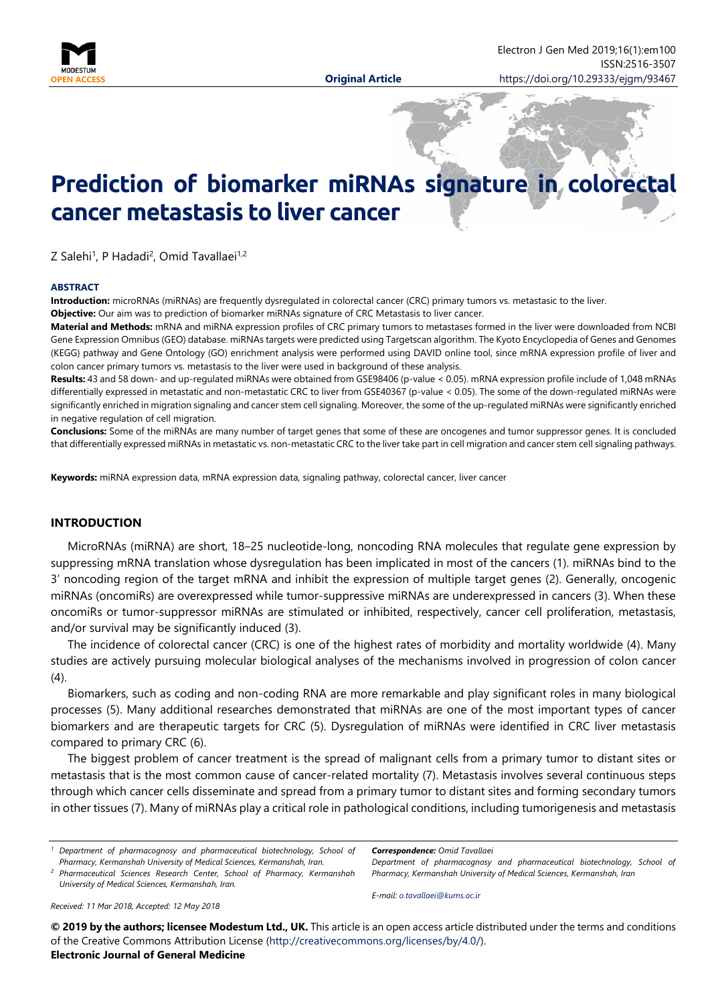

# **Prediction of biomarker miRNAs signature in colorectal cancer metastasis to liver cancer**

Z Salehi<sup>1</sup>, P Hadadi<sup>2</sup>, Omid Tavallaei<sup>1,2</sup>

#### **ABSTRACT**

**Introduction:** microRNAs (miRNAs) are frequently dysregulated in colorectal cancer (CRC) primary tumors vs. metastasic to the liver. **Objective:** Our aim was to prediction of biomarker miRNAs signature of CRC Metastasis to liver cancer.

**Material and Methods:** mRNA and miRNA expression profiles of CRC primary tumors to metastases formed in the liver were downloaded from NCBI Gene Expression Omnibus (GEO) database. miRNAs targets were predicted using Targetscan algorithm. The Kyoto Encyclopedia of Genes and Genomes (KEGG) pathway and Gene Ontology (GO) enrichment analysis were performed using DAVID online tool, since mRNA expression profile of liver and colon cancer primary tumors vs. metastasis to the liver were used in background of these analysis.

Results: 43 and 58 down- and up-regulated miRNAs were obtained from GSE98406 (p-value < 0.05). mRNA expression profile include of 1,048 mRNAs differentially expressed in metastatic and non-metastatic CRC to liver from GSE40367 (p-value < 0.05). The some of the down-regulated miRNAs were significantly enriched in migration signaling and cancer stem cell signaling. Moreover, the some of the up-regulated miRNAs were significantly enriched in negative regulation of cell migration.

**Conclusions:** Some of the miRNAs are many number of target genes that some of these are oncogenes and tumor suppressor genes. It is concluded that differentially expressed miRNAs in metastatic vs. non-metastatic CRC to the liver take part in cell migration and cancer stem cell signaling pathways.

**Keywords:** miRNA expression data, mRNA expression data, signaling pathway, colorectal cancer, liver cancer

## **INTRODUCTION**

MicroRNAs (miRNA) are short, 18–25 nucleotide-long, noncoding RNA molecules that regulate gene expression by suppressing mRNA translation whose dysregulation has been implicated in most of the cancers (1). miRNAs bind to the 3' noncoding region of the target mRNA and inhibit the expression of multiple target genes (2). Generally, oncogenic miRNAs (oncomiRs) are overexpressed while tumor-suppressive miRNAs are underexpressed in cancers (3). When these oncomiRs or tumor-suppressor miRNAs are stimulated or inhibited, respectively, cancer cell proliferation, metastasis, and/or survival may be significantly induced (3).

The incidence of colorectal cancer (CRC) is one of the highest rates of morbidity and mortality worldwide (4). Many studies are actively pursuing molecular biological analyses of the mechanisms involved in progression of colon cancer  $(4)$ .

Biomarkers, such as coding and non-coding RNA are more remarkable and play significant roles in many biological processes (5). Many additional researches demonstrated that miRNAs are one of the most important types of cancer biomarkers and are therapeutic targets for CRC (5). Dysregulation of miRNAs were identified in CRC liver metastasis compared to primary CRC (6).

The biggest problem of cancer treatment is the spread of malignant cells from a primary tumor to distant sites or metastasis that is the most common cause of cancer-related mortality (7). Metastasis involves several continuous steps through which cancer cells disseminate and spread from a primary tumor to distant sites and forming secondary tumors in other tissues (7). Many of miRNAs play a critical role in pathological conditions, including tumorigenesis and metastasis

*<sup>1</sup> Department of pharmacognosy and pharmaceutical biotechnology, School of Pharmacy, Kermanshah University of Medical Sciences, Kermanshah, Iran.*

*<sup>2</sup> Pharmaceutical Sciences Research Center, School of Pharmacy, Kermanshah University of Medical Sciences, Kermanshah, Iran.*

*Correspondence: Omid Tavallaei*

*Department of pharmacognosy and pharmaceutical biotechnology, School of Pharmacy, Kermanshah University of Medical Sciences, Kermanshah, Iran*

*Received: 11 Mar 2018, Accepted: 12 May 2018*

*E-mail: [o.tavallaei@kums.ac.ir](mailto:o.tavallaei@kums.ac.ir)*

**© 2019 by the authors; licensee Modestum Ltd., UK.** This article is an open access article distributed under the terms and conditions of the Creative Commons Attribution License [\(http://creativecommons.org/licenses/by/4.0/\)](http://creativecommons.org/licenses/by/4.0/). **Electronic Journal of General Medicine**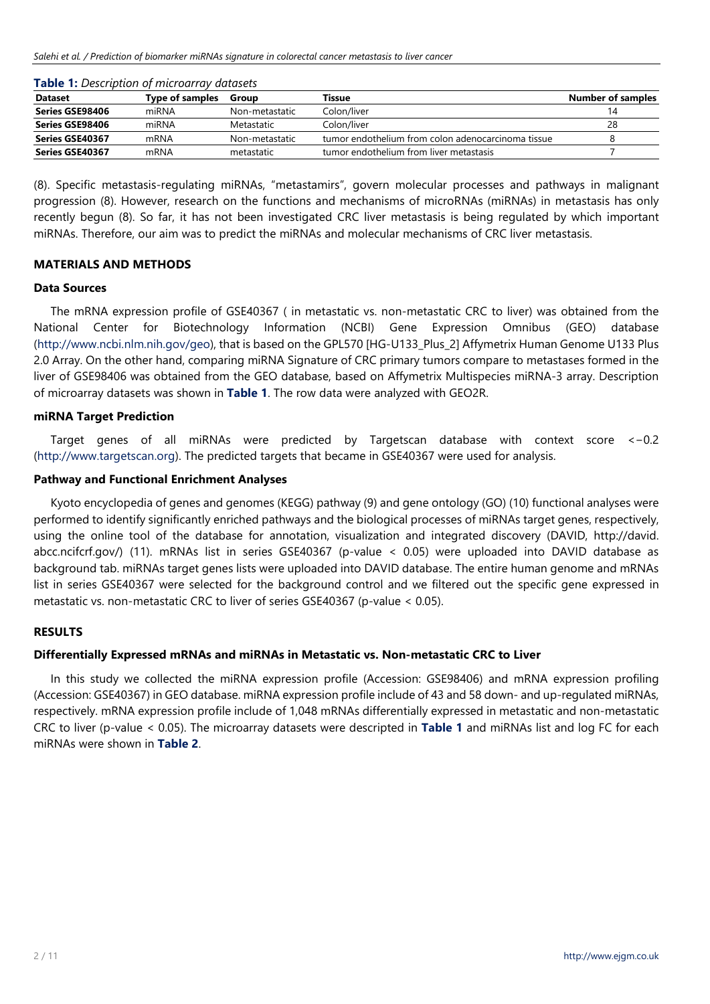| <b>Dataset</b>  | Type of samples | Group          | Tissue                                             | <b>Number of samples</b> |  |
|-----------------|-----------------|----------------|----------------------------------------------------|--------------------------|--|
| Series GSE98406 | miRNA           | Non-metastatic | Colon/liver                                        |                          |  |
| Series GSE98406 | miRNA           | Metastatic     | Colon/liver                                        | 28                       |  |
| Series GSE40367 | mRNA            | Non-metastatic | tumor endothelium from colon adenocarcinoma tissue |                          |  |
| Series GSE40367 | mRNA            | metastatic     | tumor endothelium from liver metastasis            |                          |  |
|                 |                 |                |                                                    |                          |  |

| Table 1: Description of microarray datasets |
|---------------------------------------------|
|---------------------------------------------|

(8). Specific metastasis-regulating miRNAs, "metastamirs", govern molecular processes and pathways in malignant progression (8). However, research on the functions and mechanisms of microRNAs (miRNAs) in metastasis has only recently begun (8). So far, it has not been investigated CRC liver metastasis is being regulated by which important miRNAs. Therefore, our aim was to predict the miRNAs and molecular mechanisms of CRC liver metastasis.

## **MATERIALS AND METHODS**

## **Data Sources**

The mRNA expression profile of GSE40367 ( in metastatic vs. non-metastatic CRC to liver) was obtained from the National Center for Biotechnology Information (NCBI) Gene Expression Omnibus (GEO) database [\(http://www.ncbi.nlm.nih.gov/geo\)](http://www.ncbi.nlm.nih.gov/geo), that is based on the GPL570 [HG-U133\_Plus\_2] Affymetrix Human Genome U133 Plus 2.0 Array. On the other hand, comparing miRNA Signature of CRC primary tumors compare to metastases formed in the liver of GSE98406 was obtained from the GEO database, based on Affymetrix Multispecies miRNA-3 array. Description of microarray datasets was shown in **Table 1**. The row data were analyzed with GEO2R.

## **miRNA Target Prediction**

Target genes of all miRNAs were predicted by Targetscan database with context score <−0.2 [\(http://www.targetscan.org\)](http://www.targetscan.org/). The predicted targets that became in GSE40367 were used for analysis.

## **Pathway and Functional Enrichment Analyses**

Kyoto encyclopedia of genes and genomes (KEGG) pathway (9) and gene ontology (GO) (10) functional analyses were performed to identify significantly enriched pathways and the biological processes of miRNAs target genes, respectively, using the online tool of the database for annotation, visualization and integrated discovery (DAVID, http://david. abcc.ncifcrf.gov/) (11). mRNAs list in series GSE40367 (p-value < 0.05) were uploaded into DAVID database as background tab. miRNAs target genes lists were uploaded into DAVID database. The entire human genome and mRNAs list in series GSE40367 were selected for the background control and we filtered out the specific gene expressed in metastatic vs. non-metastatic CRC to liver of series GSE40367 (p-value < 0.05).

## **RESULTS**

## **Differentially Expressed mRNAs and miRNAs in Metastatic vs. Non-metastatic CRC to Liver**

In this study we collected the miRNA expression profile (Accession: GSE98406) and mRNA expression profiling (Accession: GSE40367) in GEO database. miRNA expression profile include of 43 and 58 down- and up-regulated miRNAs, respectively. mRNA expression profile include of 1,048 mRNAs differentially expressed in metastatic and non-metastatic CRC to liver (p-value < 0.05). The microarray datasets were descripted in **Table 1** and miRNAs list and log FC for each miRNAs were shown in **Table 2**.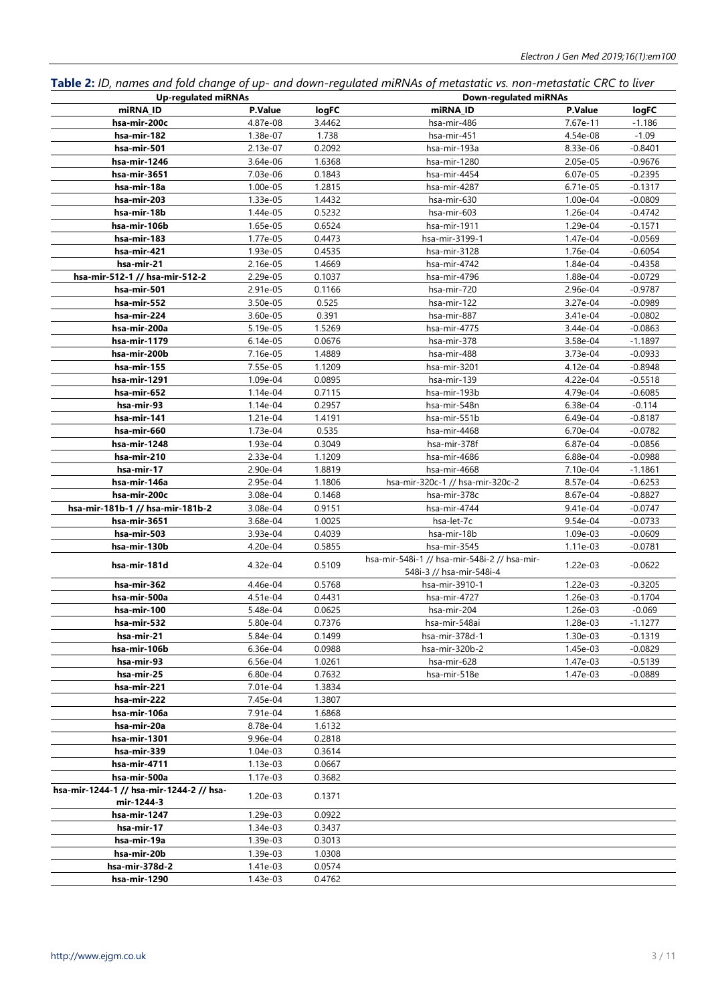**Table 2:** *ID, names and fold change of up- and down-regulated miRNAs of metastatic vs. non-metastatic CRC to liver*

| <b>Up-regulated miRNAs</b>               |          |        | <b>Down-regulated miRNAs</b>                 |          |           |  |
|------------------------------------------|----------|--------|----------------------------------------------|----------|-----------|--|
| miRNA ID                                 | P.Value  | logFC  | miRNA ID                                     | P.Value  | logFC     |  |
| hsa-mir-200c                             | 4.87e-08 | 3.4462 | hsa-mir-486                                  | 7.67e-11 | $-1.186$  |  |
| hsa-mir-182                              | 1.38e-07 | 1.738  | hsa-mir-451                                  | 4.54e-08 | $-1.09$   |  |
| hsa-mir-501                              | 2.13e-07 | 0.2092 | hsa-mir-193a                                 | 8.33e-06 | $-0.8401$ |  |
| hsa-mir-1246                             | 3.64e-06 | 1.6368 | hsa-mir-1280                                 | 2.05e-05 | $-0.9676$ |  |
| hsa-mir-3651                             | 7.03e-06 | 0.1843 | hsa-mir-4454                                 | 6.07e-05 | $-0.2395$ |  |
| hsa-mir-18a                              | 1.00e-05 | 1.2815 | hsa-mir-4287                                 | 6.71e-05 | $-0.1317$ |  |
| hsa-mir-203                              | 1.33e-05 | 1.4432 | hsa-mir-630                                  | 1.00e-04 | $-0.0809$ |  |
| hsa-mir-18b                              | 1.44e-05 | 0.5232 | hsa-mir-603                                  | 1.26e-04 | $-0.4742$ |  |
| hsa-mir-106b                             | 1.65e-05 | 0.6524 | hsa-mir-1911                                 | 1.29e-04 | $-0.1571$ |  |
| hsa-mir-183                              | 1.77e-05 | 0.4473 | hsa-mir-3199-1                               | 1.47e-04 | $-0.0569$ |  |
| hsa-mir-421                              | 1.93e-05 | 0.4535 | hsa-mir-3128                                 | 1.76e-04 | $-0.6054$ |  |
| hsa-mir-21                               | 2.16e-05 | 1.4669 | hsa-mir-4742                                 | 1.84e-04 | $-0.4358$ |  |
| hsa-mir-512-1 // hsa-mir-512-2           | 2.29e-05 | 0.1037 | hsa-mir-4796                                 | 1.88e-04 | $-0.0729$ |  |
| hsa-mir-501                              | 2.91e-05 | 0.1166 | hsa-mir-720                                  | 2.96e-04 | $-0.9787$ |  |
| hsa-mir-552                              | 3.50e-05 | 0.525  | hsa-mir-122                                  | 3.27e-04 | $-0.0989$ |  |
| hsa-mir-224                              | 3.60e-05 | 0.391  | hsa-mir-887                                  | 3.41e-04 | $-0.0802$ |  |
| hsa-mir-200a                             | 5.19e-05 | 1.5269 | hsa-mir-4775                                 | 3.44e-04 | $-0.0863$ |  |
| hsa-mir-1179                             | 6.14e-05 | 0.0676 | hsa-mir-378                                  | 3.58e-04 | $-1.1897$ |  |
| hsa-mir-200b                             | 7.16e-05 | 1.4889 | hsa-mir-488                                  | 3.73e-04 | $-0.0933$ |  |
| hsa-mir-155                              | 7.55e-05 | 1.1209 | hsa-mir-3201                                 | 4.12e-04 | $-0.8948$ |  |
| hsa-mir-1291                             | 1.09e-04 | 0.0895 | hsa-mir-139                                  | 4.22e-04 | $-0.5518$ |  |
| hsa-mir-652                              | 1.14e-04 | 0.7115 | hsa-mir-193b                                 | 4.79e-04 | $-0.6085$ |  |
| hsa-mir-93                               | 1.14e-04 | 0.2957 | hsa-mir-548n                                 | 6.38e-04 | $-0.114$  |  |
| hsa-mir-141                              | 1.21e-04 | 1.4191 | hsa-mir-551b                                 | 6.49e-04 | $-0.8187$ |  |
| hsa-mir-660                              | 1.73e-04 | 0.535  | hsa-mir-4468                                 | 6.70e-04 | $-0.0782$ |  |
| hsa-mir-1248                             | 1.93e-04 | 0.3049 | hsa-mir-378f                                 | 6.87e-04 | $-0.0856$ |  |
| hsa-mir-210                              | 2.33e-04 | 1.1209 | hsa-mir-4686                                 | 6.88e-04 | $-0.0988$ |  |
| hsa-mir-17                               | 2.90e-04 | 1.8819 | hsa-mir-4668                                 | 7.10e-04 | $-1.1861$ |  |
| hsa-mir-146a                             | 2.95e-04 | 1.1806 | hsa-mir-320c-1 // hsa-mir-320c-2             | 8.57e-04 | $-0.6253$ |  |
| hsa-mir-200c                             | 3.08e-04 | 0.1468 | hsa-mir-378c                                 | 8.67e-04 | $-0.8827$ |  |
| hsa-mir-181b-1 // hsa-mir-181b-2         | 3.08e-04 | 0.9151 | hsa-mir-4744                                 | 9.41e-04 | $-0.0747$ |  |
| hsa-mir-3651                             | 3.68e-04 | 1.0025 | hsa-let-7c                                   | 9.54e-04 | $-0.0733$ |  |
| hsa-mir-503                              | 3.93e-04 | 0.4039 | hsa-mir-18b                                  | 1.09e-03 | $-0.0609$ |  |
| hsa-mir-130b                             | 4.20e-04 | 0.5855 | hsa-mir-3545                                 | 1.11e-03 | $-0.0781$ |  |
|                                          |          |        | hsa-mir-548i-1 // hsa-mir-548i-2 // hsa-mir- |          |           |  |
| hsa-mir-181d                             | 4.32e-04 | 0.5109 | 548i-3 // hsa-mir-548i-4                     | 1.22e-03 | $-0.0622$ |  |
| hsa-mir-362                              | 4.46e-04 | 0.5768 | hsa-mir-3910-1                               | 1.22e-03 | $-0.3205$ |  |
| hsa-mir-500a                             | 4.51e-04 | 0.4431 | hsa-mir-4727                                 | 1.26e-03 | $-0.1704$ |  |
| hsa-mir-100                              | 5.48e-04 | 0.0625 | hsa-mir-204                                  | 1.26e-03 | $-0.069$  |  |
| hsa-mir-532                              | 5.80e-04 | 0.7376 | hsa-mir-548ai                                | 1.28e-03 | $-1.1277$ |  |
| hsa-mir-21                               | 5.84e-04 | 0.1499 | hsa-mir-378d-1                               | 1.30e-03 | $-0.1319$ |  |
| hsa-mir-106b                             | 6.36e-04 | 0.0988 | hsa-mir-320b-2                               | 1.45e-03 | $-0.0829$ |  |
| hsa-mir-93                               | 6.56e-04 | 1.0261 | hsa-mir-628                                  | 1.47e-03 | $-0.5139$ |  |
| hsa-mir-25                               | 6.80e-04 | 0.7632 | hsa-mir-518e                                 | 1.47e-03 | $-0.0889$ |  |
| hsa-mir-221                              | 7.01e-04 | 1.3834 |                                              |          |           |  |
| hsa-mir-222                              | 7.45e-04 | 1.3807 |                                              |          |           |  |
| hsa-mir-106a                             | 7.91e-04 | 1.6868 |                                              |          |           |  |
| hsa-mir-20a                              | 8.78e-04 | 1.6132 |                                              |          |           |  |
| hsa-mir-1301                             | 9.96e-04 | 0.2818 |                                              |          |           |  |
| hsa-mir-339                              | 1.04e-03 | 0.3614 |                                              |          |           |  |
| hsa-mir-4711                             | 1.13e-03 | 0.0667 |                                              |          |           |  |
| hsa-mir-500a                             | 1.17e-03 | 0.3682 |                                              |          |           |  |
| hsa-mir-1244-1 // hsa-mir-1244-2 // hsa- |          |        |                                              |          |           |  |
| mir-1244-3                               | 1.20e-03 | 0.1371 |                                              |          |           |  |
| hsa-mir-1247                             | 1.29e-03 | 0.0922 |                                              |          |           |  |
| hsa-mir-17                               | 1.34e-03 | 0.3437 |                                              |          |           |  |
| hsa-mir-19a                              | 1.39e-03 | 0.3013 |                                              |          |           |  |
| hsa-mir-20b                              | 1.39e-03 | 1.0308 |                                              |          |           |  |
| hsa-mir-378d-2                           | 1.41e-03 | 0.0574 |                                              |          |           |  |
| hsa-mir-1290                             | 1.43e-03 | 0.4762 |                                              |          |           |  |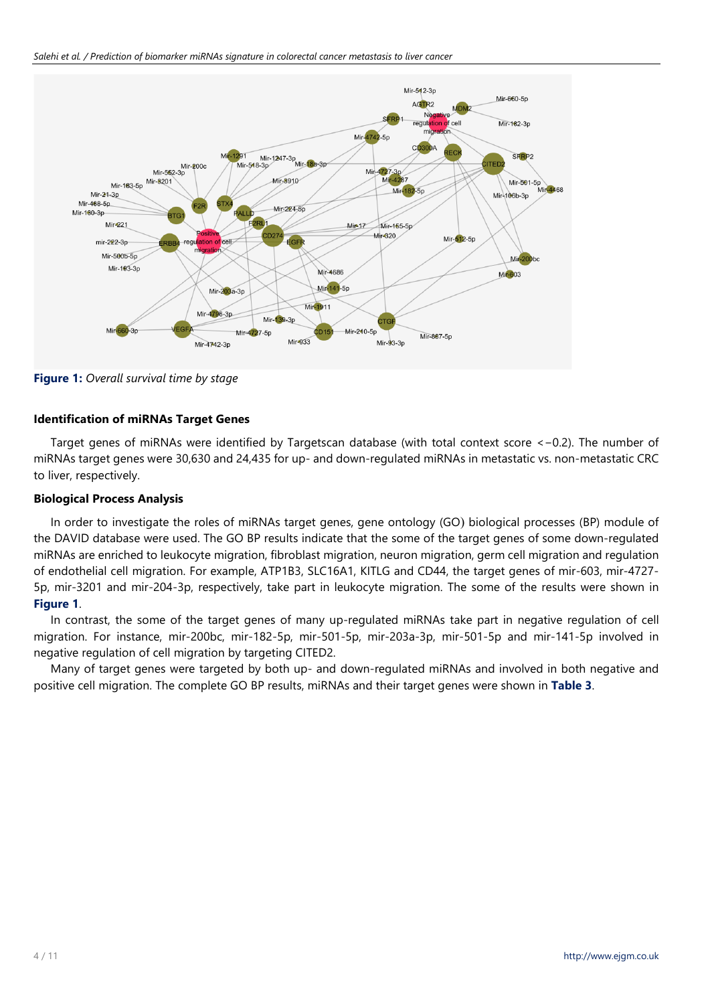*Salehi et al. / Prediction of biomarker miRNAs signature in colorectal cancer metastasis to liver cancer*



**Figure 1:** *Overall survival time by stage*

# **Identification of miRNAs Target Genes**

Target genes of miRNAs were identified by Targetscan database (with total context score <−0.2). The number of miRNAs target genes were 30,630 and 24,435 for up- and down-regulated miRNAs in metastatic vs. non-metastatic CRC to liver, respectively.

# **Biological Process Analysis**

In order to investigate the roles of miRNAs target genes, gene ontology (GO) biological processes (BP) module of the DAVID database were used. The GO BP results indicate that the some of the target genes of some down-regulated miRNAs are enriched to leukocyte migration, fibroblast migration, neuron migration, germ cell migration and regulation of endothelial cell migration. For example, ATP1B3, SLC16A1, KITLG and CD44, the target genes of mir-603, mir-4727- 5p, mir-3201 and mir-204-3p, respectively, take part in leukocyte migration. The some of the results were shown in **Figure 1**.

In contrast, the some of the target genes of many up-regulated miRNAs take part in negative regulation of cell migration. For instance, mir-200bc, mir-182-5p, mir-501-5p, mir-203a-3p, mir-501-5p and mir-141-5p involved in negative regulation of cell migration by targeting CITED2.

Many of target genes were targeted by both up- and down-regulated miRNAs and involved in both negative and positive cell migration. The complete GO BP results, miRNAs and their target genes were shown in **Table 3**.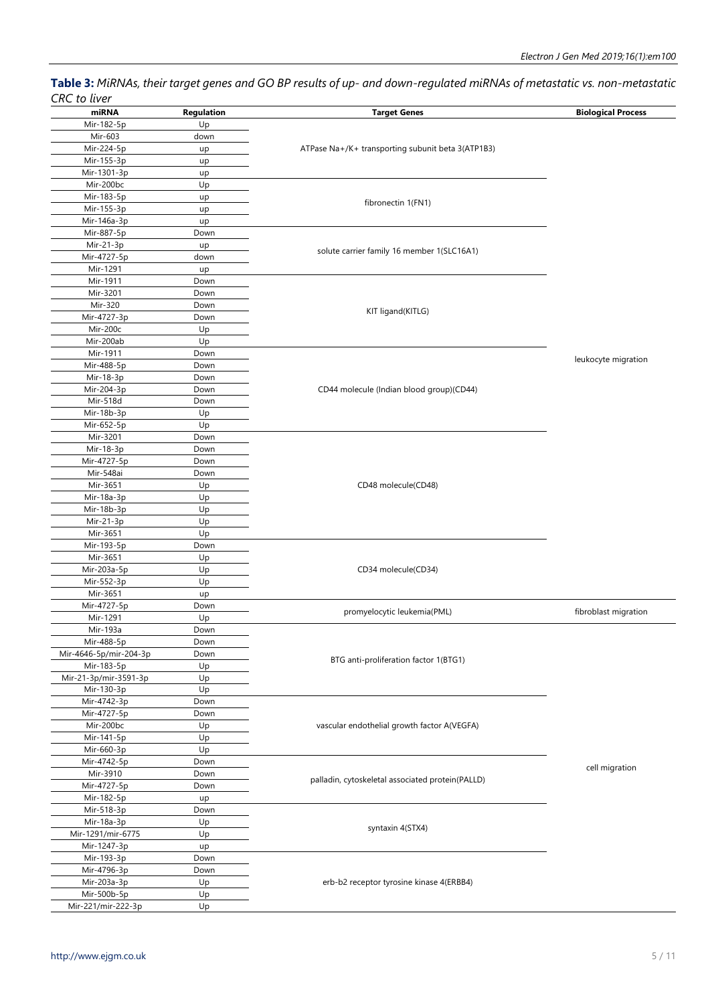**Table 3:** *MiRNAs, their target genes and GO BP results of up- and down-regulated miRNAs of metastatic vs. non-metastatic CRC to liver*

| כוזכ נט ננופו          |            |                                                   |                           |
|------------------------|------------|---------------------------------------------------|---------------------------|
| miRNA                  | Regulation | <b>Target Genes</b>                               | <b>Biological Process</b> |
| Mir-182-5p             | Up         |                                                   |                           |
| Mir-603                | down       |                                                   |                           |
| Mir-224-5p             | up         | ATPase Na+/K+ transporting subunit beta 3(ATP1B3) |                           |
| Mir-155-3p             | up         |                                                   |                           |
| Mir-1301-3p            | up         |                                                   |                           |
| Mir-200bc              | Up         |                                                   |                           |
| Mir-183-5p             | up         |                                                   |                           |
| Mir-155-3p             | up         | fibronectin 1(FN1)                                |                           |
| Mir-146a-3p            | up         |                                                   |                           |
| Mir-887-5p             | Down       |                                                   |                           |
| Mir-21-3p              | up         |                                                   |                           |
| Mir-4727-5p            | down       | solute carrier family 16 member 1(SLC16A1)        |                           |
| Mir-1291               | up         |                                                   |                           |
| Mir-1911               | Down       |                                                   |                           |
| Mir-3201               | Down       |                                                   |                           |
| Mir-320                | Down       |                                                   |                           |
| Mir-4727-3p            | Down       | KIT ligand(KITLG)                                 |                           |
| Mir-200c               | Up         |                                                   |                           |
| Mir-200ab              | Up         |                                                   |                           |
| Mir-1911               | Down       |                                                   |                           |
| Mir-488-5p             | Down       |                                                   | leukocyte migration       |
| Mir-18-3p              | Down       |                                                   |                           |
| Mir-204-3p             | Down       | CD44 molecule (Indian blood group)(CD44)          |                           |
| Mir-518d               | Down       |                                                   |                           |
| Mir-18b-3p             | Up         |                                                   |                           |
| Mir-652-5p             | Up         |                                                   |                           |
| Mir-3201               | Down       |                                                   |                           |
| Mir-18-3p              | Down       |                                                   |                           |
| Mir-4727-5p            | Down       |                                                   |                           |
| Mir-548ai              | Down       |                                                   |                           |
| Mir-3651               | Up         | CD48 molecule(CD48)                               |                           |
| Mir-18a-3p             | Up         |                                                   |                           |
| Mir-18b-3p             | Up         |                                                   |                           |
| Mir-21-3p              | Up         |                                                   |                           |
| Mir-3651               | Up         |                                                   |                           |
| Mir-193-5p             | Down       |                                                   |                           |
| Mir-3651               | Up         |                                                   |                           |
| Mir-203a-5p            | Up         | CD34 molecule(CD34)                               |                           |
| Mir-552-3p             | Up         |                                                   |                           |
| Mir-3651               | up         |                                                   |                           |
| Mir-4727-5p            | Down       |                                                   |                           |
| Mir-1291               | Up         | promyelocytic leukemia(PML)                       | fibroblast migration      |
| Mir-193a               | Down       |                                                   |                           |
| Mir-488-5p             | Down       |                                                   |                           |
| Mir-4646-5p/mir-204-3p | Down       |                                                   |                           |
| Mir-183-5p             | Up         | BTG anti-proliferation factor 1(BTG1)             |                           |
| Mir-21-3p/mir-3591-3p  | Up         |                                                   |                           |
| Mir-130-3p             | Up         |                                                   |                           |
| Mir-4742-3p            | Down       |                                                   |                           |
| Mir-4727-5p            | Down       |                                                   |                           |
| Mir-200bc              | Up         | vascular endothelial growth factor A(VEGFA)       |                           |
| Mir-141-5p             | Up         |                                                   |                           |
| Mir-660-3p             | Up         |                                                   |                           |
| Mir-4742-5p            | Down       |                                                   |                           |
| Mir-3910               | Down       |                                                   | cell migration            |
| Mir-4727-5p            | Down       | palladin, cytoskeletal associated protein(PALLD)  |                           |
| Mir-182-5p             | up         |                                                   |                           |
| Mir-518-3p             | Down       |                                                   |                           |
| Mir-18a-3p             | Up         |                                                   |                           |
| Mir-1291/mir-6775      | Up         | syntaxin 4(STX4)                                  |                           |
|                        |            |                                                   |                           |
| Mir-1247-3p            | up         |                                                   |                           |
| Mir-193-3p             | Down       |                                                   |                           |
| Mir-4796-3p            | Down       |                                                   |                           |
| Mir-203a-3p            | Up         | erb-b2 receptor tyrosine kinase 4(ERBB4)          |                           |
| Mir-500b-5p            | Up         |                                                   |                           |
| Mir-221/mir-222-3p     | Up         |                                                   |                           |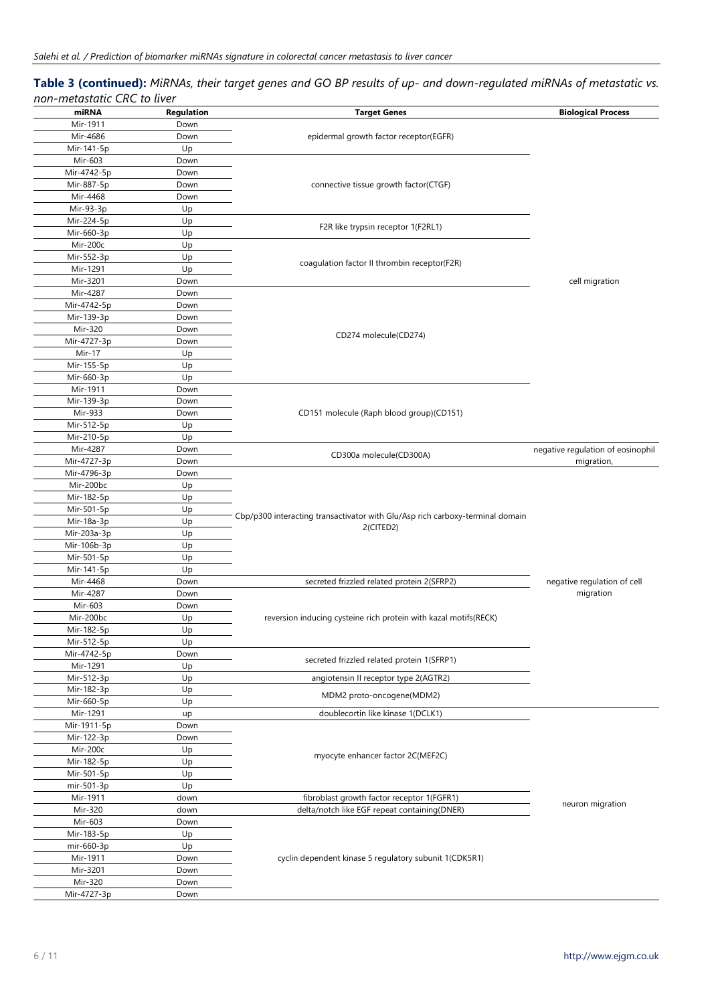## **Table 3 (continued):** *MiRNAs, their target genes and GO BP results of up- and down-regulated miRNAs of metastatic vs. non-metastatic CRC to liver*

| miRNA       | Regulation                           | <b>Target Genes</b>                                                                        | <b>Biological Process</b>         |  |
|-------------|--------------------------------------|--------------------------------------------------------------------------------------------|-----------------------------------|--|
| Mir-1911    | Down                                 |                                                                                            |                                   |  |
| Mir-4686    | Down                                 | epidermal growth factor receptor(EGFR)                                                     |                                   |  |
| Mir-141-5p  | Up                                   |                                                                                            |                                   |  |
| Mir-603     | Down                                 |                                                                                            |                                   |  |
|             |                                      |                                                                                            |                                   |  |
| Mir-4742-5p | Down                                 |                                                                                            |                                   |  |
| Mir-887-5p  | Down                                 | connective tissue growth factor(CTGF)                                                      |                                   |  |
| Mir-4468    | Down                                 |                                                                                            |                                   |  |
| Mir-93-3p   | Up                                   |                                                                                            |                                   |  |
| Mir-224-5p  | Up                                   |                                                                                            |                                   |  |
| Mir-660-3p  | Up                                   | F2R like trypsin receptor 1(F2RL1)                                                         |                                   |  |
| Mir-200c    | Up                                   |                                                                                            |                                   |  |
| Mir-552-3p  | Up                                   |                                                                                            |                                   |  |
|             |                                      | coagulation factor II thrombin receptor(F2R)                                               |                                   |  |
| Mir-1291    | Up                                   |                                                                                            |                                   |  |
| Mir-3201    | Down                                 |                                                                                            | cell migration                    |  |
| Mir-4287    | Down                                 |                                                                                            |                                   |  |
| Mir-4742-5p | Down                                 |                                                                                            |                                   |  |
| Mir-139-3p  | Down                                 |                                                                                            |                                   |  |
| Mir-320     | Down                                 |                                                                                            |                                   |  |
| Mir-4727-3p | Down                                 | CD274 molecule(CD274)                                                                      |                                   |  |
| Mir-17      | Up                                   |                                                                                            |                                   |  |
|             |                                      |                                                                                            |                                   |  |
| Mir-155-5p  | Up                                   |                                                                                            |                                   |  |
| Mir-660-3p  | Up                                   |                                                                                            |                                   |  |
| Mir-1911    | Down                                 |                                                                                            |                                   |  |
| Mir-139-3p  | Down                                 |                                                                                            |                                   |  |
| Mir-933     | Down                                 | CD151 molecule (Raph blood group)(CD151)                                                   |                                   |  |
| Mir-512-5p  | Up                                   |                                                                                            |                                   |  |
| Mir-210-5p  | Up                                   |                                                                                            |                                   |  |
| Mir-4287    | Down                                 |                                                                                            | negative regulation of eosinophil |  |
|             |                                      | CD300a molecule(CD300A)                                                                    |                                   |  |
| Mir-4727-3p | Down                                 |                                                                                            | migration,                        |  |
| Mir-4796-3p | Down                                 |                                                                                            |                                   |  |
| Mir-200bc   | Up                                   |                                                                                            |                                   |  |
| Mir-182-5p  | Up                                   |                                                                                            |                                   |  |
| Mir-501-5p  | Up                                   |                                                                                            |                                   |  |
| Mir-18a-3p  | Up                                   | Cbp/p300 interacting transactivator with Glu/Asp rich carboxy-terminal domain<br>2(CITED2) |                                   |  |
| Mir-203a-3p | Up                                   |                                                                                            |                                   |  |
| Mir-106b-3p | Up                                   |                                                                                            |                                   |  |
|             |                                      |                                                                                            |                                   |  |
| Mir-501-5p  | Up                                   |                                                                                            |                                   |  |
| Mir-141-5p  | Up                                   |                                                                                            |                                   |  |
| Mir-4468    | Down                                 | secreted frizzled related protein 2(SFRP2)                                                 | negative regulation of cell       |  |
| Mir-4287    | Down                                 |                                                                                            | migration                         |  |
| Mir-603     | Down                                 |                                                                                            |                                   |  |
| Mir-200bc   | Up                                   | reversion inducing cysteine rich protein with kazal motifs(RECK)                           |                                   |  |
| Mir-182-5p  | Up                                   |                                                                                            |                                   |  |
| Mir-512-5p  | Up                                   |                                                                                            |                                   |  |
| Mir-4742-5p | Down                                 |                                                                                            |                                   |  |
|             |                                      | secreted frizzled related protein 1(SFRP1)                                                 |                                   |  |
| Mir-1291    | Up                                   |                                                                                            |                                   |  |
| Mir-512-3p  | Up                                   | angiotensin II receptor type 2(AGTR2)                                                      |                                   |  |
| Mir-182-3p  | Up                                   | MDM2 proto-oncogene(MDM2)                                                                  |                                   |  |
| Mir-660-5p  | Up                                   |                                                                                            |                                   |  |
| Mir-1291    | up                                   | doublecortin like kinase 1(DCLK1)                                                          |                                   |  |
| Mir-1911-5p | Down                                 |                                                                                            |                                   |  |
| Mir-122-3p  | Down                                 |                                                                                            |                                   |  |
| Mir-200c    | Up                                   |                                                                                            |                                   |  |
|             |                                      | myocyte enhancer factor 2C(MEF2C)                                                          |                                   |  |
|             | Mir-182-5p<br>Up<br>Mir-501-5p<br>Up |                                                                                            |                                   |  |
|             |                                      |                                                                                            |                                   |  |
| mir-501-3p  | Up                                   |                                                                                            |                                   |  |
| Mir-1911    | down                                 | fibroblast growth factor receptor 1(FGFR1)                                                 | neuron migration                  |  |
| Mir-320     | down                                 | delta/notch like EGF repeat containing(DNER)                                               |                                   |  |
| Mir-603     | Down                                 |                                                                                            |                                   |  |
| Mir-183-5p  | Up                                   |                                                                                            |                                   |  |
| mir-660-3p  | Up                                   |                                                                                            |                                   |  |
| Mir-1911    | Down                                 | cyclin dependent kinase 5 regulatory subunit 1(CDK5R1)                                     |                                   |  |
| Mir-3201    |                                      |                                                                                            |                                   |  |
|             | Down                                 |                                                                                            |                                   |  |
| Mir-320     | Down                                 |                                                                                            |                                   |  |
| Mir-4727-3p | Down                                 |                                                                                            |                                   |  |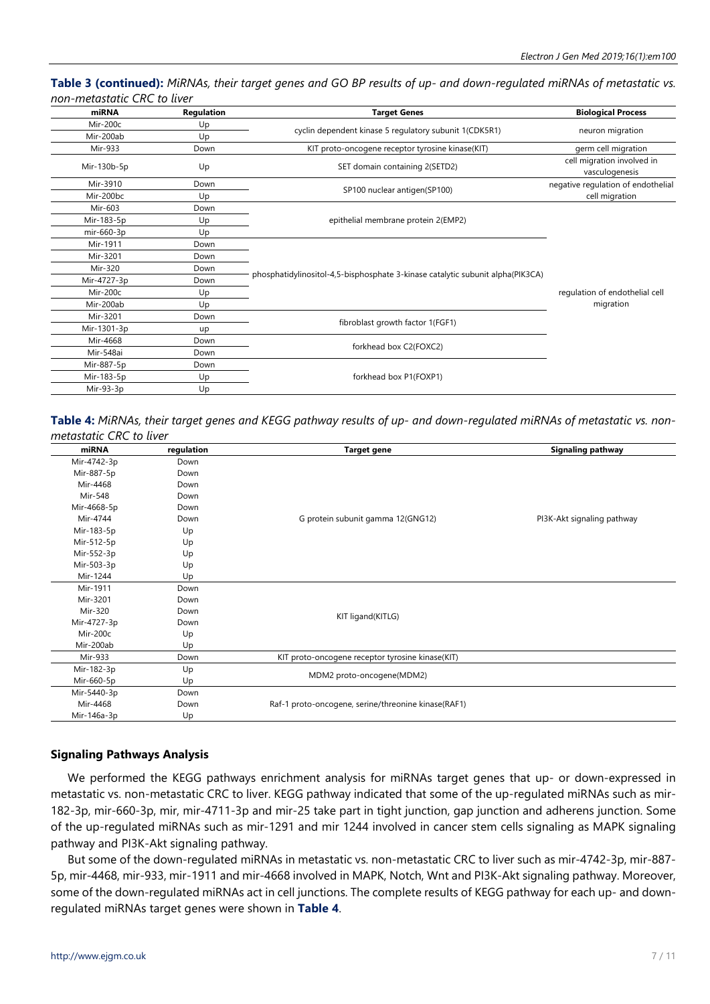**Table 3 (continued):** *MiRNAs, their target genes and GO BP results of up- and down-regulated miRNAs of metastatic vs. non-metastatic CRC to liver*

| miRNA       | Regulation | <b>Target Genes</b>                                                            | <b>Biological Process</b>                    |
|-------------|------------|--------------------------------------------------------------------------------|----------------------------------------------|
| Mir-200c    | Up         |                                                                                |                                              |
| Mir-200ab   | Up         | cyclin dependent kinase 5 regulatory subunit 1(CDK5R1)                         | neuron migration                             |
| Mir-933     | Down       | KIT proto-oncogene receptor tyrosine kinase(KIT)                               | germ cell migration                          |
| Mir-130b-5p | Up         | SET domain containing 2(SETD2)                                                 | cell migration involved in<br>vasculogenesis |
| Mir-3910    | Down       |                                                                                | negative regulation of endothelial           |
| Mir-200bc   | Up         | SP100 nuclear antigen(SP100)                                                   | cell migration                               |
| Mir-603     | Down       |                                                                                | regulation of endothelial cell<br>migration  |
| Mir-183-5p  | Up         | epithelial membrane protein 2(EMP2)                                            |                                              |
| mir-660-3p  | Up         |                                                                                |                                              |
| Mir-1911    | Down       |                                                                                |                                              |
| Mir-3201    | Down       |                                                                                |                                              |
| Mir-320     | Down       |                                                                                |                                              |
| Mir-4727-3p | Down       | phosphatidylinositol-4,5-bisphosphate 3-kinase catalytic subunit alpha(PIK3CA) |                                              |
| Mir-200c    | Up         |                                                                                |                                              |
| Mir-200ab   | Up         |                                                                                |                                              |
| Mir-3201    | Down       |                                                                                |                                              |
| Mir-1301-3p | up         | fibroblast growth factor 1(FGF1)                                               |                                              |
| Mir-4668    | Down       |                                                                                |                                              |
| Mir-548ai   | Down       | forkhead box C2(FOXC2)                                                         |                                              |
| Mir-887-5p  | Down       |                                                                                |                                              |
| Mir-183-5p  | Up         | forkhead box P1(FOXP1)                                                         |                                              |
| Mir-93-3p   | Up         |                                                                                |                                              |

**Table 4:** *MiRNAs, their target genes and KEGG pathway results of up- and down-regulated miRNAs of metastatic vs. nonmetastatic CRC to liver*

| miRNA       | regulation | <b>Target gene</b>                                  | <b>Signaling pathway</b>   |
|-------------|------------|-----------------------------------------------------|----------------------------|
| Mir-4742-3p | Down       |                                                     |                            |
| Mir-887-5p  | Down       |                                                     |                            |
| Mir-4468    | Down       |                                                     |                            |
| Mir-548     | Down       |                                                     |                            |
| Mir-4668-5p | Down       |                                                     |                            |
| Mir-4744    | Down       | G protein subunit gamma 12(GNG12)                   | PI3K-Akt signaling pathway |
| Mir-183-5p  | Up         |                                                     |                            |
| Mir-512-5p  | Up         |                                                     |                            |
| Mir-552-3p  | Up         |                                                     |                            |
| Mir-503-3p  | Up         |                                                     |                            |
| Mir-1244    | Up         |                                                     |                            |
| Mir-1911    | Down       |                                                     |                            |
| Mir-3201    | Down       | KIT ligand(KITLG)                                   |                            |
| Mir-320     | Down       |                                                     |                            |
| Mir-4727-3p | Down       |                                                     |                            |
| Mir-200c    | Up         |                                                     |                            |
| Mir-200ab   | Up         |                                                     |                            |
| Mir-933     | Down       | KIT proto-oncogene receptor tyrosine kinase(KIT)    |                            |
| Mir-182-3p  | Up         |                                                     |                            |
| Mir-660-5p  | Up         | MDM2 proto-oncogene(MDM2)                           |                            |
| Mir-5440-3p | Down       |                                                     |                            |
| Mir-4468    | Down       | Raf-1 proto-oncogene, serine/threonine kinase(RAF1) |                            |
| Mir-146a-3p | Up         |                                                     |                            |

## **Signaling Pathways Analysis**

We performed the KEGG pathways enrichment analysis for miRNAs target genes that up- or down-expressed in metastatic vs. non-metastatic CRC to liver. KEGG pathway indicated that some of the up-regulated miRNAs such as mir-182-3p, mir-660-3p, mir, mir-4711-3p and mir-25 take part in tight junction, gap junction and adherens junction. Some of the up-regulated miRNAs such as mir-1291 and mir 1244 involved in cancer stem cells signaling as MAPK signaling pathway and PI3K-Akt signaling pathway.

But some of the down-regulated miRNAs in metastatic vs. non-metastatic CRC to liver such as mir-4742-3p, mir-887- 5p, mir-4468, mir-933, mir-1911 and mir-4668 involved in MAPK, Notch, Wnt and PI3K-Akt signaling pathway. Moreover, some of the down-regulated miRNAs act in cell junctions. The complete results of KEGG pathway for each up- and downregulated miRNAs target genes were shown in **Table 4**.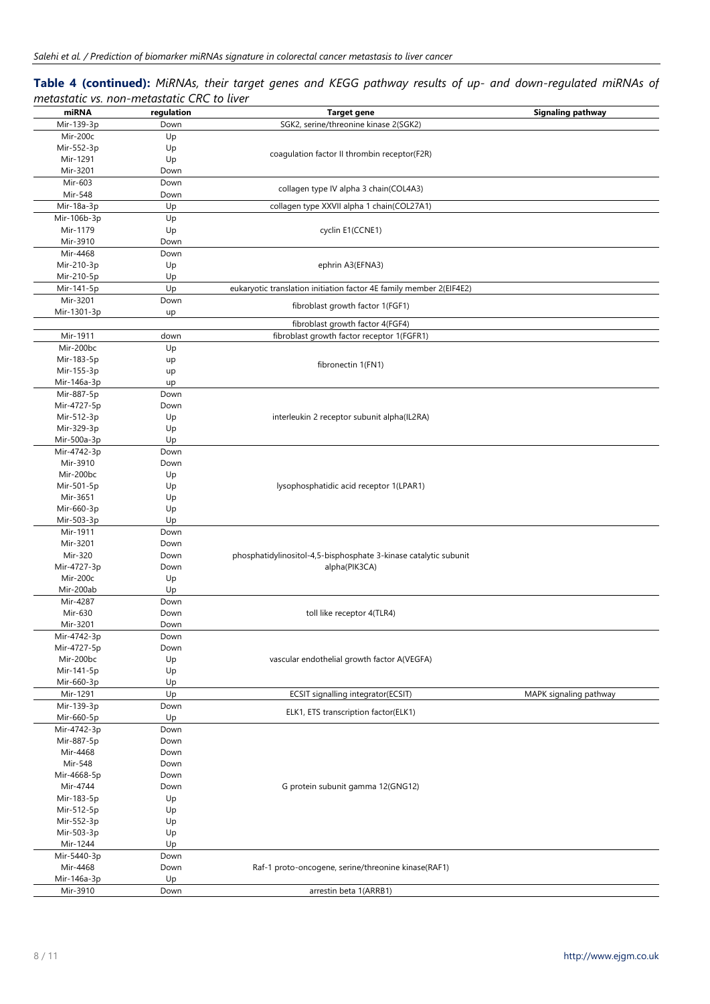## **Table 4 (continued):** *MiRNAs, their target genes and KEGG pathway results of up- and down-regulated miRNAs of metastatic vs. non-metastatic CRC to liver*

| miRNA                    | regulation   | <b>Target gene</b>                                                  | <b>Signaling pathway</b> |
|--------------------------|--------------|---------------------------------------------------------------------|--------------------------|
| Mir-139-3p               | Down         | SGK2, serine/threonine kinase 2(SGK2)                               |                          |
| Mir-200c                 | Up           |                                                                     |                          |
| Mir-552-3p               | Up           | coagulation factor II thrombin receptor(F2R)                        |                          |
| Mir-1291                 | Up           |                                                                     |                          |
| Mir-3201                 | Down         |                                                                     |                          |
| Mir-603                  | Down         | collagen type IV alpha 3 chain(COL4A3)                              |                          |
| Mir-548                  | Down         |                                                                     |                          |
| Mir-18a-3p               | Up           | collagen type XXVII alpha 1 chain(COL27A1)                          |                          |
| Mir-106b-3p              | Up           |                                                                     |                          |
| Mir-1179                 | Up           | cyclin E1(CCNE1)                                                    |                          |
| Mir-3910                 | Down         |                                                                     |                          |
| Mir-4468                 | Down         |                                                                     |                          |
| Mir-210-3p               | Up           | ephrin A3(EFNA3)                                                    |                          |
| Mir-210-5p               | Up           |                                                                     |                          |
| Mir-141-5p               | Up           | eukaryotic translation initiation factor 4E family member 2(EIF4E2) |                          |
| Mir-3201                 | Down         | fibroblast growth factor 1(FGF1)                                    |                          |
| Mir-1301-3p              | up           |                                                                     |                          |
|                          |              | fibroblast growth factor 4(FGF4)                                    |                          |
| Mir-1911                 | down         | fibroblast growth factor receptor 1(FGFR1)                          |                          |
| Mir-200bc                | Up           |                                                                     |                          |
| Mir-183-5p               | up           | fibronectin 1(FN1)                                                  |                          |
| Mir-155-3p               | up           |                                                                     |                          |
| Mir-146a-3p              | up           |                                                                     |                          |
| Mir-887-5p               | Down         |                                                                     |                          |
| Mir-4727-5p              | Down         |                                                                     |                          |
| Mir-512-3p<br>Mir-329-3p | Up           | interleukin 2 receptor subunit alpha(IL2RA)                         |                          |
| Mir-500a-3p              | Up<br>Up     |                                                                     |                          |
| Mir-4742-3p              | Down         |                                                                     |                          |
| Mir-3910                 | Down         |                                                                     |                          |
| Mir-200bc                | Up           |                                                                     |                          |
| Mir-501-5p               | Up           | lysophosphatidic acid receptor 1(LPAR1)                             |                          |
| Mir-3651                 | Up           |                                                                     |                          |
| Mir-660-3p               | Up           |                                                                     |                          |
| Mir-503-3p               | Up           |                                                                     |                          |
| Mir-1911                 | Down         |                                                                     |                          |
| Mir-3201                 | Down         |                                                                     |                          |
| Mir-320                  | Down         | phosphatidylinositol-4,5-bisphosphate 3-kinase catalytic subunit    |                          |
| Mir-4727-3p              | Down         | alpha(PIK3CA)                                                       |                          |
| Mir-200c                 | Up           |                                                                     |                          |
| Mir-200ab                | Up           |                                                                     |                          |
| Mir-4287                 | Down         |                                                                     |                          |
| Mir-630                  | Down         | toll like receptor 4(TLR4)                                          |                          |
| Mir-3201                 | Down         |                                                                     |                          |
| Mir-4742-3p              | Down         |                                                                     |                          |
| Mir-4727-5p              | Down         |                                                                     |                          |
| Mir-200bc                | Up           | vascular endothelial growth factor A(VEGFA)                         |                          |
| Mir-141-5p               | Up           |                                                                     |                          |
| Mir-660-3p               | Up           |                                                                     |                          |
| Mir-1291                 | Up           | ECSIT signalling integrator(ECSIT)                                  | MAPK signaling pathway   |
| Mir-139-3p               | Down         | ELK1, ETS transcription factor(ELK1)                                |                          |
| Mir-660-5p               | Up           |                                                                     |                          |
| Mir-4742-3p              | Down         |                                                                     |                          |
| Mir-887-5p<br>Mir-4468   | Down<br>Down |                                                                     |                          |
| Mir-548                  | Down         |                                                                     |                          |
| Mir-4668-5p              | Down         |                                                                     |                          |
| Mir-4744                 | Down         | G protein subunit gamma 12(GNG12)                                   |                          |
| Mir-183-5p               | Up           |                                                                     |                          |
| Mir-512-5p               | Up           |                                                                     |                          |
| Mir-552-3p               | Up           |                                                                     |                          |
| Mir-503-3p               | Up           |                                                                     |                          |
| Mir-1244                 | Up           |                                                                     |                          |
| Mir-5440-3p              | Down         |                                                                     |                          |
| Mir-4468                 | Down         | Raf-1 proto-oncogene, serine/threonine kinase(RAF1)                 |                          |
| Mir-146a-3p              | Up           |                                                                     |                          |
| Mir-3910                 | Down         | arrestin beta 1(ARRB1)                                              |                          |
|                          |              |                                                                     |                          |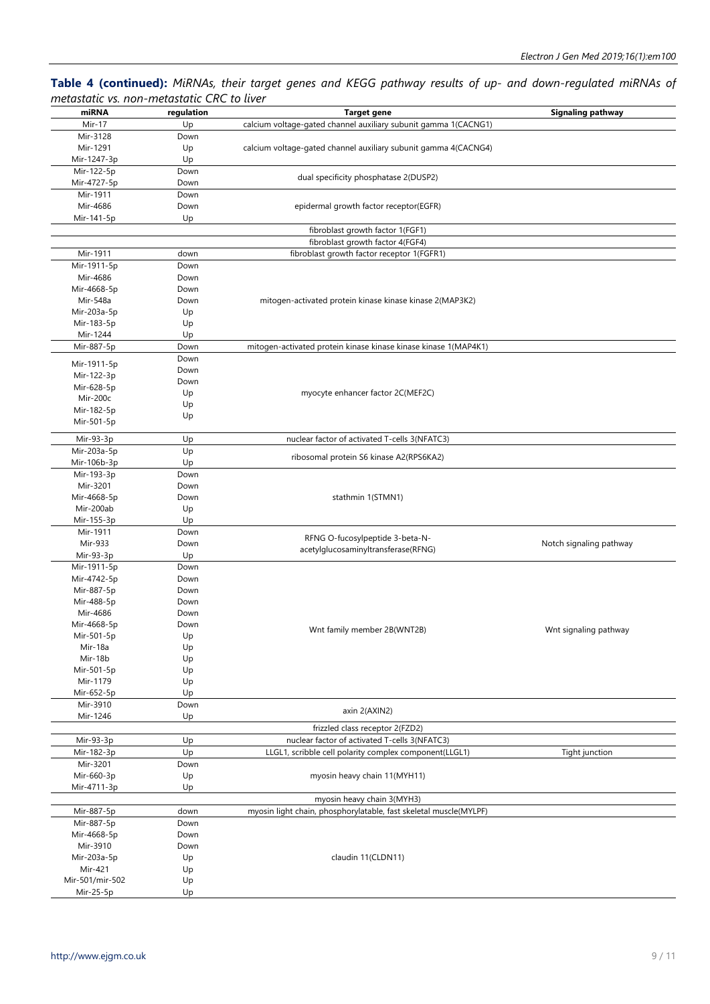## **Table 4 (continued):** *MiRNAs, their target genes and KEGG pathway results of up- and down-regulated miRNAs of metastatic vs. non-metastatic CRC to liver*

| ---------       |            |                                                                   |                          |
|-----------------|------------|-------------------------------------------------------------------|--------------------------|
| miRNA           | regulation | <b>Target gene</b>                                                | <b>Signaling pathway</b> |
| Mir-17          | Up         | calcium voltage-gated channel auxiliary subunit gamma 1(CACNG1)   |                          |
| Mir-3128        | Down       |                                                                   |                          |
| Mir-1291        | Up         | calcium voltage-gated channel auxiliary subunit gamma 4(CACNG4)   |                          |
| Mir-1247-3p     | Up         |                                                                   |                          |
| Mir-122-5p      | Down       |                                                                   |                          |
| Mir-4727-5p     | Down       | dual specificity phosphatase 2(DUSP2)                             |                          |
|                 |            |                                                                   |                          |
| Mir-1911        | Down       |                                                                   |                          |
| Mir-4686        | Down       | epidermal growth factor receptor(EGFR)                            |                          |
| Mir-141-5p      | Up         |                                                                   |                          |
|                 |            | fibroblast growth factor 1(FGF1)                                  |                          |
|                 |            | fibroblast growth factor 4(FGF4)                                  |                          |
| Mir-1911        | down       | fibroblast growth factor receptor 1(FGFR1)                        |                          |
| Mir-1911-5p     | Down       |                                                                   |                          |
| Mir-4686        | Down       |                                                                   |                          |
| Mir-4668-5p     | Down       |                                                                   |                          |
| Mir-548a        | Down       | mitogen-activated protein kinase kinase kinase 2(MAP3K2)          |                          |
| Mir-203a-5p     | Up         |                                                                   |                          |
|                 |            |                                                                   |                          |
| Mir-183-5p      | Up         |                                                                   |                          |
| Mir-1244        | Up         |                                                                   |                          |
| Mir-887-5p      | Down       | mitogen-activated protein kinase kinase kinase kinase 1(MAP4K1)   |                          |
| Mir-1911-5p     | Down       |                                                                   |                          |
| Mir-122-3p      | Down       |                                                                   |                          |
| Mir-628-5p      | Down       |                                                                   |                          |
| Mir-200c        | Up         | myocyte enhancer factor 2C(MEF2C)                                 |                          |
|                 | Up         |                                                                   |                          |
| Mir-182-5p      | Up         |                                                                   |                          |
| Mir-501-5p      |            |                                                                   |                          |
| Mir-93-3p       | Up         | nuclear factor of activated T-cells 3(NFATC3)                     |                          |
| Mir-203a-5p     | Up         |                                                                   |                          |
| Mir-106b-3p     | Up         | ribosomal protein S6 kinase A2(RPS6KA2)                           |                          |
|                 |            |                                                                   |                          |
| Mir-193-3p      | Down       |                                                                   |                          |
| Mir-3201        | Down       |                                                                   |                          |
| Mir-4668-5p     | Down       | stathmin 1(STMN1)                                                 |                          |
| Mir-200ab       | Up         |                                                                   |                          |
| Mir-155-3p      | Up         |                                                                   |                          |
| Mir-1911        | Down       | RFNG O-fucosylpeptide 3-beta-N-                                   |                          |
| Mir-933         | Down       | acetylglucosaminyltransferase(RFNG)                               | Notch signaling pathway  |
| Mir-93-3p       | Up         |                                                                   |                          |
| Mir-1911-5p     | Down       |                                                                   |                          |
| Mir-4742-5p     | Down       |                                                                   |                          |
| Mir-887-5p      | Down       |                                                                   |                          |
| Mir-488-5p      | Down       |                                                                   |                          |
| Mir-4686        | Down       |                                                                   |                          |
| Mir-4668-5p     | Down       |                                                                   |                          |
| Mir-501-5p      | Up         | Wnt family member 2B(WNT2B)                                       | Wnt signaling pathway    |
| Mir-18a         | Up         |                                                                   |                          |
| Mir-18b         | Up         |                                                                   |                          |
| Mir-501-5p      |            |                                                                   |                          |
|                 | Up         |                                                                   |                          |
| Mir-1179        | Up         |                                                                   |                          |
| Mir-652-5p      | Up         |                                                                   |                          |
| Mir-3910        | Down       | axin 2(AXIN2)                                                     |                          |
| Mir-1246        | Up         |                                                                   |                          |
|                 |            | frizzled class receptor 2(FZD2)                                   |                          |
| Mir-93-3p       | Up         | nuclear factor of activated T-cells 3(NFATC3)                     |                          |
| Mir-182-3p      | Up         | LLGL1, scribble cell polarity complex component(LLGL1)            | Tight junction           |
| Mir-3201        | Down       |                                                                   |                          |
| Mir-660-3p      | Up         | myosin heavy chain 11(MYH11)                                      |                          |
| Mir-4711-3p     | Up         |                                                                   |                          |
|                 |            | myosin heavy chain 3(MYH3)                                        |                          |
| Mir-887-5p      | down       | myosin light chain, phosphorylatable, fast skeletal muscle(MYLPF) |                          |
|                 |            |                                                                   |                          |
| Mir-887-5p      | Down       |                                                                   |                          |
| Mir-4668-5p     | Down       |                                                                   |                          |
| Mir-3910        | Down       |                                                                   |                          |
| Mir-203a-5p     | Up         | claudin 11(CLDN11)                                                |                          |
| Mir-421         | Up         |                                                                   |                          |
| Mir-501/mir-502 | Up         |                                                                   |                          |
| Mir-25-5p       | Up         |                                                                   |                          |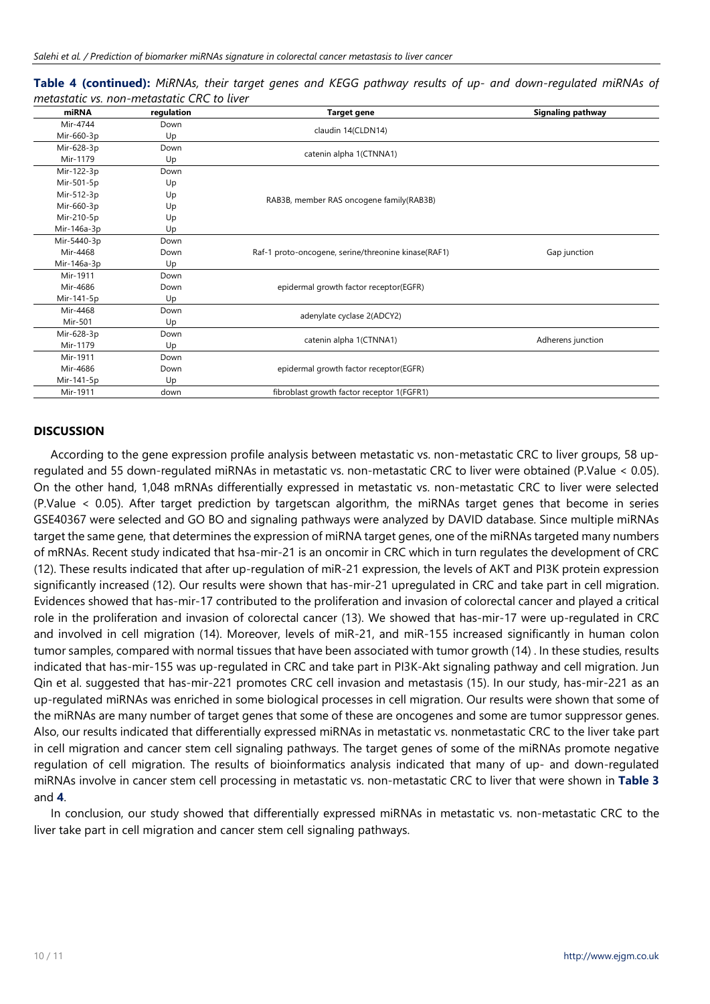**Table 4 (continued):** *MiRNAs, their target genes and KEGG pathway results of up- and down-regulated miRNAs of metastatic vs. non-metastatic CRC to liver*

| miRNA       | regulation | Target gene                                         | <b>Signaling pathway</b> |
|-------------|------------|-----------------------------------------------------|--------------------------|
| Mir-4744    | Down       |                                                     |                          |
| Mir-660-3p  | Up         | claudin 14(CLDN14)                                  |                          |
| Mir-628-3p  | Down       |                                                     |                          |
| Mir-1179    | Up         | catenin alpha 1(CTNNA1)                             |                          |
| Mir-122-3p  | Down       |                                                     |                          |
| Mir-501-5p  | Up         |                                                     |                          |
| Mir-512-3p  | Up         | RAB3B, member RAS oncogene family(RAB3B)            |                          |
| Mir-660-3p  | Up         |                                                     |                          |
| Mir-210-5p  | Up         |                                                     |                          |
| Mir-146a-3p | Up         |                                                     |                          |
| Mir-5440-3p | Down       |                                                     |                          |
| Mir-4468    | Down       | Raf-1 proto-oncogene, serine/threonine kinase(RAF1) | Gap junction             |
| Mir-146a-3p | Up         |                                                     |                          |
| Mir-1911    | Down       |                                                     |                          |
| Mir-4686    | Down       | epidermal growth factor receptor(EGFR)              |                          |
| Mir-141-5p  | Up         |                                                     |                          |
| Mir-4468    | Down       | adenylate cyclase 2(ADCY2)                          |                          |
| Mir-501     | Up         |                                                     |                          |
| Mir-628-3p  | Down       |                                                     |                          |
| Mir-1179    | Up         | catenin alpha 1(CTNNA1)                             | Adherens junction        |
| Mir-1911    | Down       |                                                     |                          |
| Mir-4686    | Down       | epidermal growth factor receptor(EGFR)              |                          |
| Mir-141-5p  | Up         |                                                     |                          |
| Mir-1911    | down       | fibroblast growth factor receptor 1(FGFR1)          |                          |

#### **DISCUSSION**

According to the gene expression profile analysis between metastatic vs. non-metastatic CRC to liver groups, 58 upregulated and 55 down-regulated miRNAs in metastatic vs. non-metastatic CRC to liver were obtained (P.Value < 0.05). On the other hand, 1,048 mRNAs differentially expressed in metastatic vs. non-metastatic CRC to liver were selected (P.Value < 0.05). After target prediction by targetscan algorithm, the miRNAs target genes that become in series GSE40367 were selected and GO BO and signaling pathways were analyzed by DAVID database. Since multiple miRNAs target the same gene, that determines the expression of miRNA target genes, one of the miRNAs targeted many numbers of mRNAs. Recent study indicated that hsa-mir-21 is an oncomir in CRC which in turn regulates the development of CRC (12). These results indicated that after up-regulation of miR-21 expression, the levels of AKT and PI3K protein expression significantly increased (12). Our results were shown that has-mir-21 upregulated in CRC and take part in cell migration. Evidences showed that has-mir-17 contributed to the proliferation and invasion of colorectal cancer and played a critical role in the proliferation and invasion of colorectal cancer (13). We showed that has-mir-17 were up-regulated in CRC and involved in cell migration (14). Moreover, levels of miR-21, and miR-155 increased significantly in human colon tumor samples, compared with normal tissues that have been associated with tumor growth (14) . In these studies, results indicated that has-mir-155 was up-regulated in CRC and take part in PI3K-Akt signaling pathway and cell migration. Jun Qin et al. suggested that has-mir-221 promotes CRC cell invasion and metastasis (15). In our study, has-mir-221 as an up-regulated miRNAs was enriched in some biological processes in cell migration. Our results were shown that some of the miRNAs are many number of target genes that some of these are oncogenes and some are tumor suppressor genes. Also, our results indicated that differentially expressed miRNAs in metastatic vs. nonmetastatic CRC to the liver take part in cell migration and cancer stem cell signaling pathways. The target genes of some of the miRNAs promote negative regulation of cell migration. The results of bioinformatics analysis indicated that many of up- and down-regulated miRNAs involve in cancer stem cell processing in metastatic vs. non-metastatic CRC to liver that were shown in **Table 3**  and **4**.

In conclusion, our study showed that differentially expressed miRNAs in metastatic vs. non-metastatic CRC to the liver take part in cell migration and cancer stem cell signaling pathways.